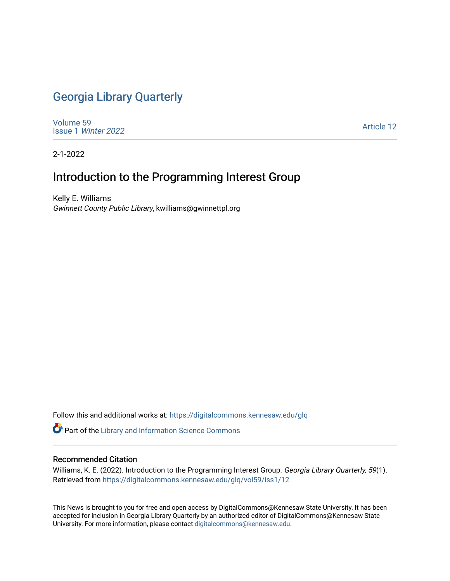## [Georgia Library Quarterly](https://digitalcommons.kennesaw.edu/glq)

[Volume 59](https://digitalcommons.kennesaw.edu/glq/vol59) Issue 1 [Winter 2022](https://digitalcommons.kennesaw.edu/glq/vol59/iss1) 

[Article 12](https://digitalcommons.kennesaw.edu/glq/vol59/iss1/12) 

2-1-2022

## Introduction to the Programming Interest Group

Kelly E. Williams Gwinnett County Public Library, kwilliams@gwinnettpl.org

Follow this and additional works at: [https://digitalcommons.kennesaw.edu/glq](https://digitalcommons.kennesaw.edu/glq?utm_source=digitalcommons.kennesaw.edu%2Fglq%2Fvol59%2Fiss1%2F12&utm_medium=PDF&utm_campaign=PDFCoverPages) 

Part of the [Library and Information Science Commons](http://network.bepress.com/hgg/discipline/1018?utm_source=digitalcommons.kennesaw.edu%2Fglq%2Fvol59%2Fiss1%2F12&utm_medium=PDF&utm_campaign=PDFCoverPages) 

## Recommended Citation

Williams, K. E. (2022). Introduction to the Programming Interest Group. Georgia Library Quarterly, 59(1). Retrieved from [https://digitalcommons.kennesaw.edu/glq/vol59/iss1/12](https://digitalcommons.kennesaw.edu/glq/vol59/iss1/12?utm_source=digitalcommons.kennesaw.edu%2Fglq%2Fvol59%2Fiss1%2F12&utm_medium=PDF&utm_campaign=PDFCoverPages) 

This News is brought to you for free and open access by DigitalCommons@Kennesaw State University. It has been accepted for inclusion in Georgia Library Quarterly by an authorized editor of DigitalCommons@Kennesaw State University. For more information, please contact [digitalcommons@kennesaw.edu.](mailto:digitalcommons@kennesaw.edu)